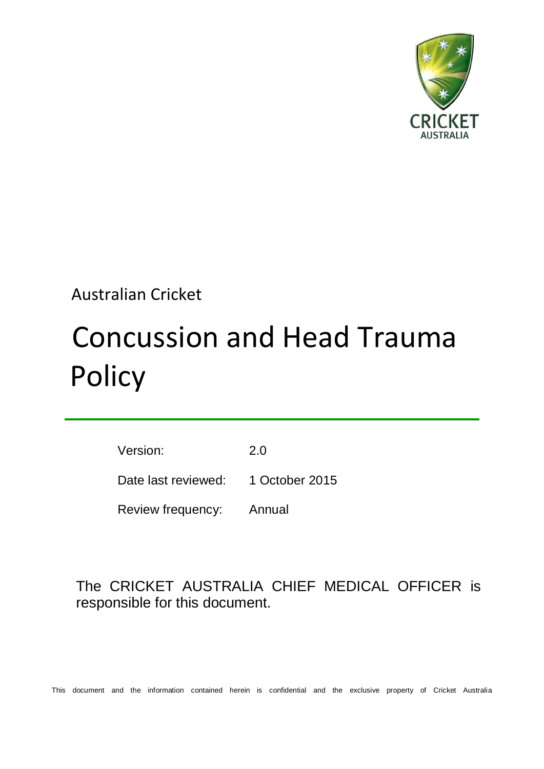

# Australian Cricket

# Concussion and Head Trauma **Policy**

Version: 2.0 Date last reviewed: 1 October 2015 Review frequency: Annual

# The CRICKET AUSTRALIA CHIEF MEDICAL OFFICER is responsible for this document.

This document and the information contained herein is confidential and the exclusive property of Cricket Australia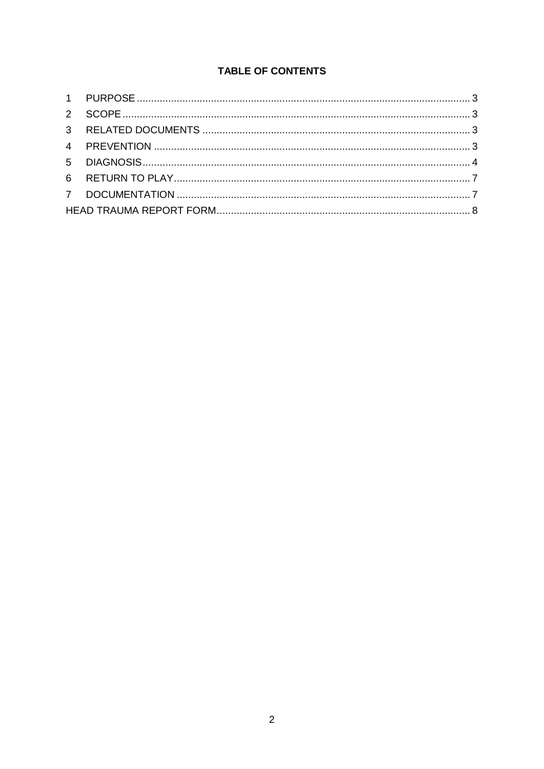# TABLE OF CONTENTS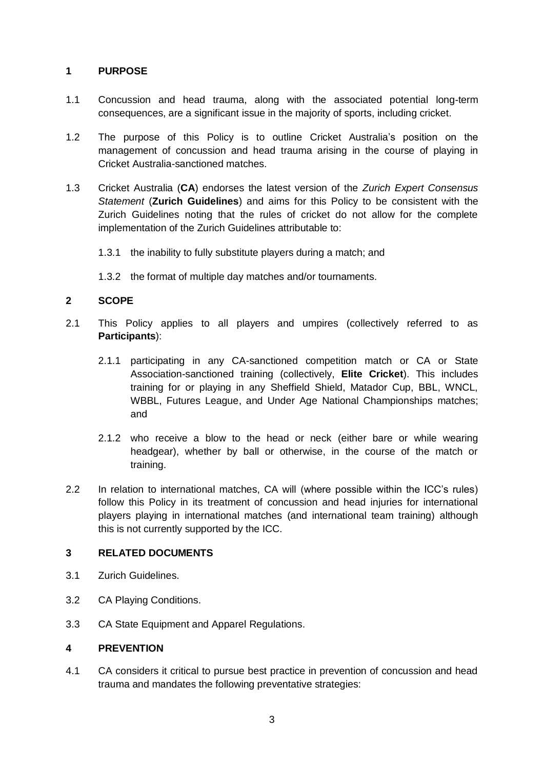#### **1 PURPOSE**

- 1.1 Concussion and head trauma, along with the associated potential long-term consequences, are a significant issue in the majority of sports, including cricket.
- 1.2 The purpose of this Policy is to outline Cricket Australia's position on the management of concussion and head trauma arising in the course of playing in Cricket Australia-sanctioned matches.
- 1.3 Cricket Australia (**CA**) endorses the latest version of the *Zurich Expert Consensus Statement* (**Zurich Guidelines**) and aims for this Policy to be consistent with the Zurich Guidelines noting that the rules of cricket do not allow for the complete implementation of the Zurich Guidelines attributable to:
	- 1.3.1 the inability to fully substitute players during a match; and
	- 1.3.2 the format of multiple day matches and/or tournaments.

#### **2 SCOPE**

- 2.1 This Policy applies to all players and umpires (collectively referred to as **Participants**):
	- 2.1.1 participating in any CA-sanctioned competition match or CA or State Association-sanctioned training (collectively, **Elite Cricket**). This includes training for or playing in any Sheffield Shield, Matador Cup, BBL, WNCL, WBBL, Futures League, and Under Age National Championships matches; and
	- 2.1.2 who receive a blow to the head or neck (either bare or while wearing headgear), whether by ball or otherwise, in the course of the match or training.
- 2.2 In relation to international matches, CA will (where possible within the ICC's rules) follow this Policy in its treatment of concussion and head injuries for international players playing in international matches (and international team training) although this is not currently supported by the ICC.

#### **3 RELATED DOCUMENTS**

- 3.1 Zurich Guidelines.
- 3.2 CA Playing Conditions.
- 3.3 CA State Equipment and Apparel Regulations.

#### **4 PREVENTION**

4.1 CA considers it critical to pursue best practice in prevention of concussion and head trauma and mandates the following preventative strategies: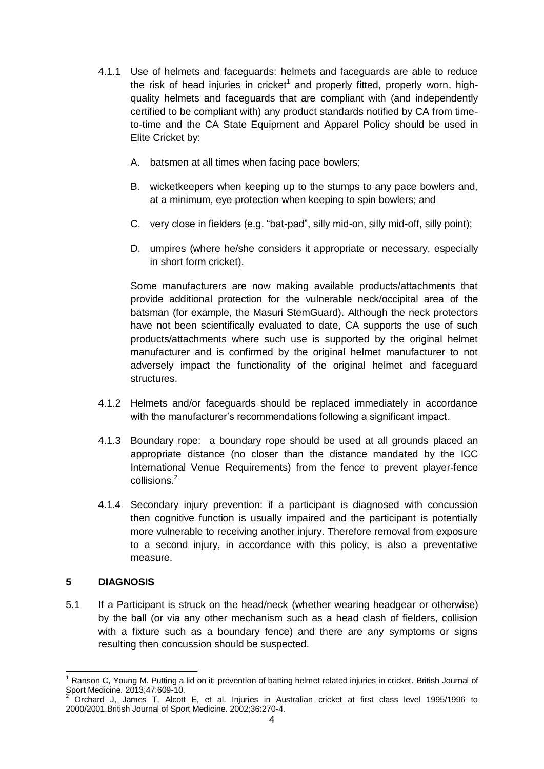- 4.1.1 Use of helmets and faceguards: helmets and faceguards are able to reduce the risk of head injuries in cricket<sup>1</sup> and properly fitted, properly worn, highquality helmets and faceguards that are compliant with (and independently certified to be compliant with) any product standards notified by CA from timeto-time and the CA State Equipment and Apparel Policy should be used in Elite Cricket by:
	- A. batsmen at all times when facing pace bowlers;
	- B. wicketkeepers when keeping up to the stumps to any pace bowlers and, at a minimum, eye protection when keeping to spin bowlers; and
	- C. very close in fielders (e.g. "bat-pad", silly mid-on, silly mid-off, silly point);
	- D. umpires (where he/she considers it appropriate or necessary, especially in short form cricket).

Some manufacturers are now making available products/attachments that provide additional protection for the vulnerable neck/occipital area of the batsman (for example, the Masuri StemGuard). Although the neck protectors have not been scientifically evaluated to date, CA supports the use of such products/attachments where such use is supported by the original helmet manufacturer and is confirmed by the original helmet manufacturer to not adversely impact the functionality of the original helmet and faceguard structures.

- 4.1.2 Helmets and/or faceguards should be replaced immediately in accordance with the manufacturer's recommendations following a significant impact.
- 4.1.3 Boundary rope: a boundary rope should be used at all grounds placed an appropriate distance (no closer than the distance mandated by the ICC International Venue Requirements) from the fence to prevent player-fence collisions.<sup>2</sup>
- 4.1.4 Secondary injury prevention: if a participant is diagnosed with concussion then cognitive function is usually impaired and the participant is potentially more vulnerable to receiving another injury. Therefore removal from exposure to a second injury, in accordance with this policy, is also a preventative measure.

#### **5 DIAGNOSIS**

5.1 If a Participant is struck on the head/neck (whether wearing headgear or otherwise) by the ball (or via any other mechanism such as a head clash of fielders, collision with a fixture such as a boundary fence) and there are any symptoms or signs resulting then concussion should be suspected.

 $\overline{1}$  $1$  Ranson C, Young M. Putting a lid on it: prevention of batting helmet related injuries in cricket. British Journal of Sport Medicine. 2013;47:609-10.

<sup>2</sup> Orchard J, James T, Alcott E, et al. Injuries in Australian cricket at first class level 1995/1996 to 2000/2001.British Journal of Sport Medicine. 2002;36:270-4.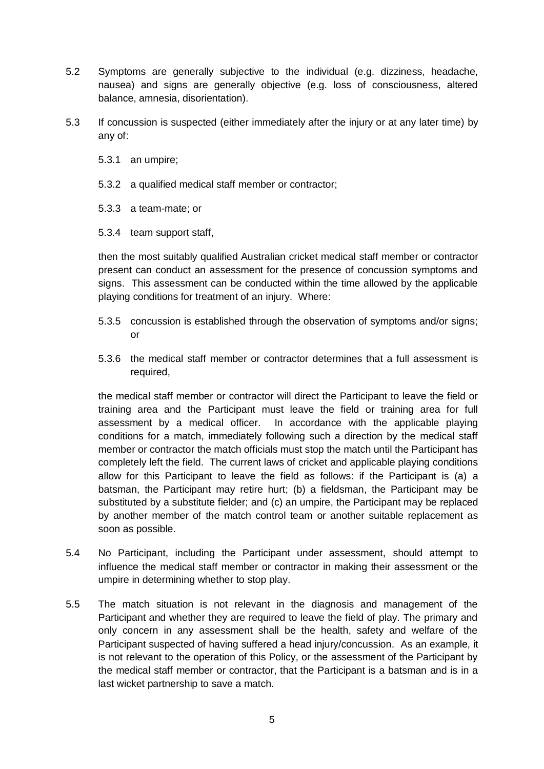- 5.2 Symptoms are generally subjective to the individual (e.g. dizziness, headache, nausea) and signs are generally objective (e.g. loss of consciousness, altered balance, amnesia, disorientation).
- 5.3 If concussion is suspected (either immediately after the injury or at any later time) by any of:
	- 5.3.1 an umpire;
	- 5.3.2 a qualified medical staff member or contractor;
	- 5.3.3 a team-mate; or
	- 5.3.4 team support staff,

then the most suitably qualified Australian cricket medical staff member or contractor present can conduct an assessment for the presence of concussion symptoms and signs. This assessment can be conducted within the time allowed by the applicable playing conditions for treatment of an injury. Where:

- 5.3.5 concussion is established through the observation of symptoms and/or signs; or
- 5.3.6 the medical staff member or contractor determines that a full assessment is required,

the medical staff member or contractor will direct the Participant to leave the field or training area and the Participant must leave the field or training area for full assessment by a medical officer. In accordance with the applicable playing conditions for a match, immediately following such a direction by the medical staff member or contractor the match officials must stop the match until the Participant has completely left the field. The current laws of cricket and applicable playing conditions allow for this Participant to leave the field as follows: if the Participant is (a) a batsman, the Participant may retire hurt; (b) a fieldsman, the Participant may be substituted by a substitute fielder; and (c) an umpire, the Participant may be replaced by another member of the match control team or another suitable replacement as soon as possible.

- 5.4 No Participant, including the Participant under assessment, should attempt to influence the medical staff member or contractor in making their assessment or the umpire in determining whether to stop play.
- 5.5 The match situation is not relevant in the diagnosis and management of the Participant and whether they are required to leave the field of play. The primary and only concern in any assessment shall be the health, safety and welfare of the Participant suspected of having suffered a head injury/concussion. As an example, it is not relevant to the operation of this Policy, or the assessment of the Participant by the medical staff member or contractor, that the Participant is a batsman and is in a last wicket partnership to save a match.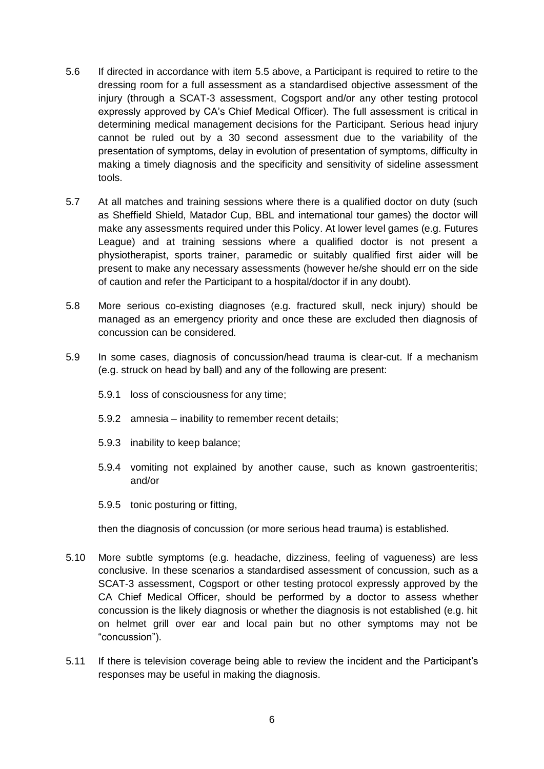- 5.6 If directed in accordance with item 5.5 above, a Participant is required to retire to the dressing room for a full assessment as a standardised objective assessment of the injury (through a SCAT-3 assessment, Cogsport and/or any other testing protocol expressly approved by CA's Chief Medical Officer). The full assessment is critical in determining medical management decisions for the Participant. Serious head injury cannot be ruled out by a 30 second assessment due to the variability of the presentation of symptoms, delay in evolution of presentation of symptoms, difficulty in making a timely diagnosis and the specificity and sensitivity of sideline assessment tools.
- 5.7 At all matches and training sessions where there is a qualified doctor on duty (such as Sheffield Shield, Matador Cup, BBL and international tour games) the doctor will make any assessments required under this Policy. At lower level games (e.g. Futures League) and at training sessions where a qualified doctor is not present a physiotherapist, sports trainer, paramedic or suitably qualified first aider will be present to make any necessary assessments (however he/she should err on the side of caution and refer the Participant to a hospital/doctor if in any doubt).
- 5.8 More serious co-existing diagnoses (e.g. fractured skull, neck injury) should be managed as an emergency priority and once these are excluded then diagnosis of concussion can be considered.
- 5.9 In some cases, diagnosis of concussion/head trauma is clear-cut. If a mechanism (e.g. struck on head by ball) and any of the following are present:
	- 5.9.1 loss of consciousness for any time;
	- 5.9.2 amnesia inability to remember recent details;
	- 5.9.3 inability to keep balance;
	- 5.9.4 vomiting not explained by another cause, such as known gastroenteritis; and/or
	- 5.9.5 tonic posturing or fitting,

then the diagnosis of concussion (or more serious head trauma) is established.

- 5.10 More subtle symptoms (e.g. headache, dizziness, feeling of vagueness) are less conclusive. In these scenarios a standardised assessment of concussion, such as a SCAT-3 assessment, Cogsport or other testing protocol expressly approved by the CA Chief Medical Officer, should be performed by a doctor to assess whether concussion is the likely diagnosis or whether the diagnosis is not established (e.g. hit on helmet grill over ear and local pain but no other symptoms may not be "concussion").
- 5.11 If there is television coverage being able to review the incident and the Participant's responses may be useful in making the diagnosis.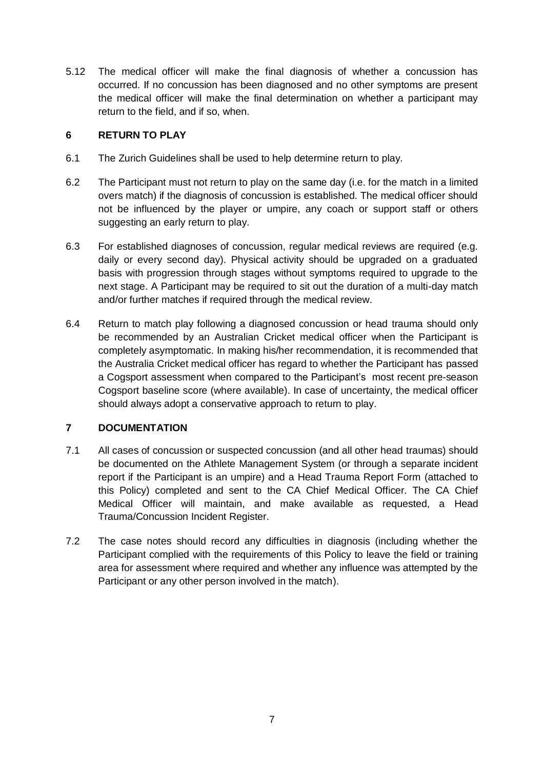5.12 The medical officer will make the final diagnosis of whether a concussion has occurred. If no concussion has been diagnosed and no other symptoms are present the medical officer will make the final determination on whether a participant may return to the field, and if so, when.

#### **6 RETURN TO PLAY**

- 6.1 The Zurich Guidelines shall be used to help determine return to play.
- 6.2 The Participant must not return to play on the same day (i.e. for the match in a limited overs match) if the diagnosis of concussion is established. The medical officer should not be influenced by the player or umpire, any coach or support staff or others suggesting an early return to play.
- 6.3 For established diagnoses of concussion, regular medical reviews are required (e.g. daily or every second day). Physical activity should be upgraded on a graduated basis with progression through stages without symptoms required to upgrade to the next stage. A Participant may be required to sit out the duration of a multi-day match and/or further matches if required through the medical review.
- 6.4 Return to match play following a diagnosed concussion or head trauma should only be recommended by an Australian Cricket medical officer when the Participant is completely asymptomatic. In making his/her recommendation, it is recommended that the Australia Cricket medical officer has regard to whether the Participant has passed a Cogsport assessment when compared to the Participant's most recent pre-season Cogsport baseline score (where available). In case of uncertainty, the medical officer should always adopt a conservative approach to return to play.

## **7 DOCUMENTATION**

- 7.1 All cases of concussion or suspected concussion (and all other head traumas) should be documented on the Athlete Management System (or through a separate incident report if the Participant is an umpire) and a Head Trauma Report Form (attached to this Policy) completed and sent to the CA Chief Medical Officer. The CA Chief Medical Officer will maintain, and make available as requested, a Head Trauma/Concussion Incident Register.
- 7.2 The case notes should record any difficulties in diagnosis (including whether the Participant complied with the requirements of this Policy to leave the field or training area for assessment where required and whether any influence was attempted by the Participant or any other person involved in the match).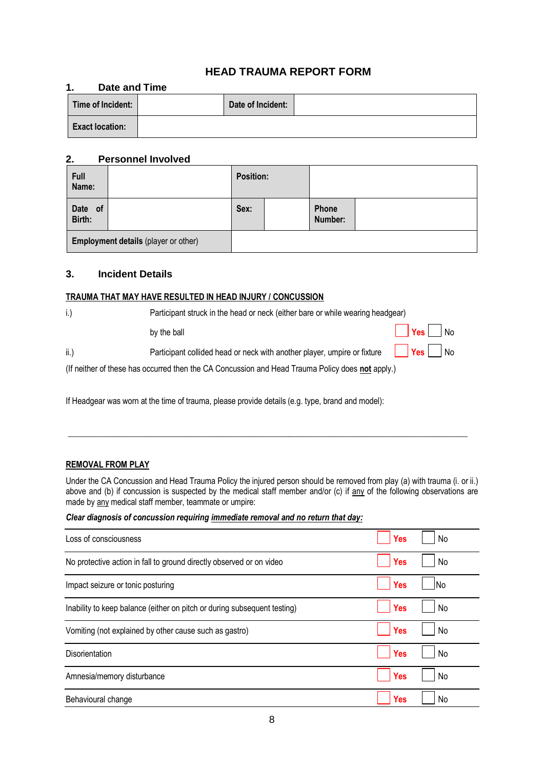### **HEAD TRAUMA REPORT FORM**

#### **1. Date and Time**

| Time of Incident:      | Date of Incident: |  |
|------------------------|-------------------|--|
| <b>Exact location:</b> |                   |  |

#### **2. Personnel Involved**

| Full<br>Name:                               |  | <b>Position:</b> |                  |  |
|---------------------------------------------|--|------------------|------------------|--|
| Date of<br>Birth:                           |  | Sex:             | Phone<br>Number: |  |
| <b>Employment details (player or other)</b> |  |                  |                  |  |

#### **3. Incident Details**

#### **TRAUMA THAT MAY HAVE RESULTED IN HEAD INJURY / CONCUSSION**

| $i$ . | Participant struck in the head or neck (either bare or while wearing headgear)                   |                                                  |  |
|-------|--------------------------------------------------------------------------------------------------|--------------------------------------------------|--|
|       | by the ball                                                                                      | $\sqrt{\frac{1}{1}}$ Yes $\sqrt{\frac{1}{1}}$ No |  |
| ii.)  | Participant collided head or neck with another player, umpire or fixture $\Box$ Yes $\Box$ No    |                                                  |  |
|       | (If neither of these has occurred then the CA Concussion and Head Trauma Policy does not apply.) |                                                  |  |

If Headgear was worn at the time of trauma, please provide details (e.g. type, brand and model):

#### **REMOVAL FROM PLAY**

Under the CA Concussion and Head Trauma Policy the injured person should be removed from play (a) with trauma (i. or ii.) above and (b) if concussion is suspected by the medical staff member and/or (c) if any of the following observations are made by any medical staff member, teammate or umpire:

\_\_\_\_\_\_\_\_\_\_\_\_\_\_\_\_\_\_\_\_\_\_\_\_\_\_\_\_\_\_\_\_\_\_\_\_\_\_\_\_\_\_\_\_\_\_\_\_\_\_\_\_\_\_\_\_\_\_\_\_\_\_\_\_\_\_\_\_\_\_\_\_\_\_\_\_\_\_\_\_\_\_\_\_\_\_\_\_\_\_\_\_\_\_\_\_

#### *Clear diagnosis of concussion requiring immediate removal and no return that day:*

| Loss of consciousness                                                    | <b>Yes</b><br>No  |
|--------------------------------------------------------------------------|-------------------|
| No protective action in fall to ground directly observed or on video     | <b>Yes</b><br>No  |
| Impact seizure or tonic posturing                                        | <b>Yes</b><br>INo |
| Inability to keep balance (either on pitch or during subsequent testing) | <b>Yes</b><br>No  |
| Vomiting (not explained by other cause such as gastro)                   | <b>Yes</b><br>No  |
| <b>Disorientation</b>                                                    | <b>Yes</b><br>No  |
| Amnesia/memory disturbance                                               | <b>Yes</b><br>No  |
| Behavioural change                                                       | Yes<br>No         |